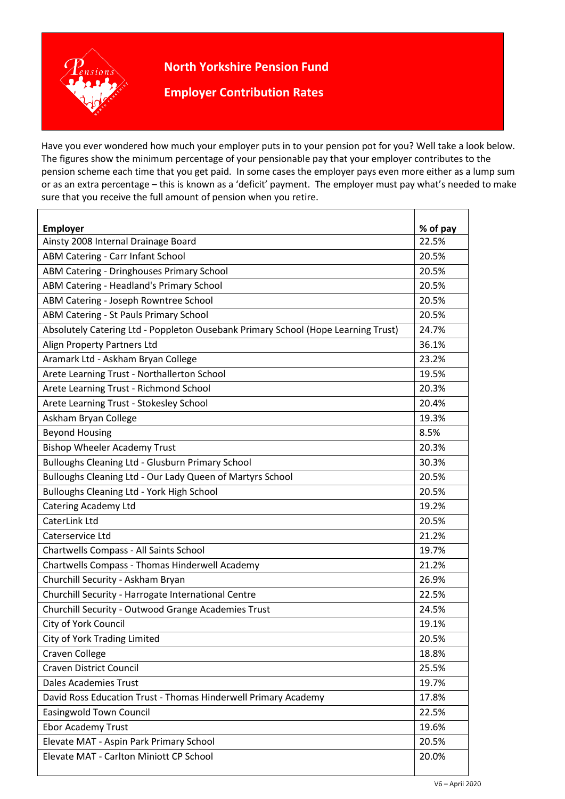## **North Yorkshire Pension Fund**



 $\mathsf{r}$ 

**Employer Contribution Rates**

 Have you ever wondered how much your employer puts in to your pension pot for you? Well take a look below. The figures show the minimum percentage of your pensionable pay that your employer contributes to the pension scheme each time that you get paid. In some cases the employer pays even more either as a lump sum or as an extra percentage – this is known as a 'deficit' payment. The employer must pay what's needed to make sure that you receive the full amount of pension when you retire.

| <b>Employer</b>                                                                   | % of pay |
|-----------------------------------------------------------------------------------|----------|
| Ainsty 2008 Internal Drainage Board                                               | 22.5%    |
| <b>ABM Catering - Carr Infant School</b>                                          | 20.5%    |
| ABM Catering - Dringhouses Primary School                                         | 20.5%    |
| ABM Catering - Headland's Primary School                                          | 20.5%    |
| ABM Catering - Joseph Rowntree School                                             | 20.5%    |
| ABM Catering - St Pauls Primary School                                            | 20.5%    |
| Absolutely Catering Ltd - Poppleton Ousebank Primary School (Hope Learning Trust) | 24.7%    |
| Align Property Partners Ltd                                                       | 36.1%    |
| Aramark Ltd - Askham Bryan College                                                | 23.2%    |
| Arete Learning Trust - Northallerton School                                       | 19.5%    |
| Arete Learning Trust - Richmond School                                            | 20.3%    |
| Arete Learning Trust - Stokesley School                                           | 20.4%    |
| Askham Bryan College                                                              | 19.3%    |
| <b>Beyond Housing</b>                                                             | 8.5%     |
| <b>Bishop Wheeler Academy Trust</b>                                               | 20.3%    |
| Bulloughs Cleaning Ltd - Glusburn Primary School                                  | 30.3%    |
| Bulloughs Cleaning Ltd - Our Lady Queen of Martyrs School                         | 20.5%    |
| <b>Bulloughs Cleaning Ltd - York High School</b>                                  | 20.5%    |
| <b>Catering Academy Ltd</b>                                                       | 19.2%    |
| CaterLink Ltd                                                                     | 20.5%    |
| Caterservice Ltd                                                                  | 21.2%    |
| Chartwells Compass - All Saints School                                            | 19.7%    |
| Chartwells Compass - Thomas Hinderwell Academy                                    | 21.2%    |
| Churchill Security - Askham Bryan                                                 | 26.9%    |
| Churchill Security - Harrogate International Centre                               | 22.5%    |
| Churchill Security - Outwood Grange Academies Trust                               | 24.5%    |
| City of York Council                                                              | 19.1%    |
| City of York Trading Limited                                                      | 20.5%    |
| Craven College                                                                    | 18.8%    |
| <b>Craven District Council</b>                                                    | 25.5%    |
| <b>Dales Academies Trust</b>                                                      | 19.7%    |
| David Ross Education Trust - Thomas Hinderwell Primary Academy                    | 17.8%    |
| <b>Easingwold Town Council</b>                                                    | 22.5%    |
| <b>Ebor Academy Trust</b>                                                         | 19.6%    |
| Elevate MAT - Aspin Park Primary School                                           | 20.5%    |
| <b>Elevate MAT - Carlton Miniott CP School</b>                                    | 20.0%    |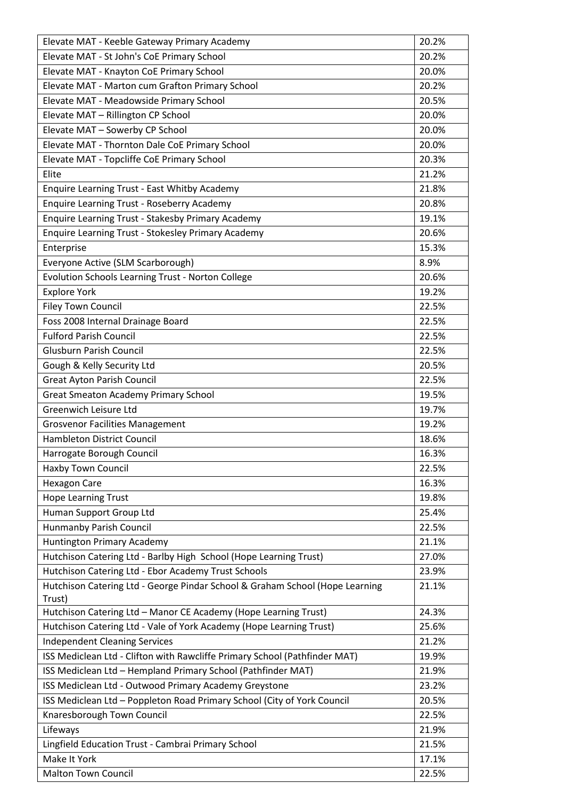| Elevate MAT - Keeble Gateway Primary Academy                                 | 20.2% |
|------------------------------------------------------------------------------|-------|
| Elevate MAT - St John's CoE Primary School                                   | 20.2% |
| Elevate MAT - Knayton CoE Primary School                                     | 20.0% |
| Elevate MAT - Marton cum Grafton Primary School                              | 20.2% |
| Elevate MAT - Meadowside Primary School                                      | 20.5% |
| Elevate MAT - Rillington CP School                                           | 20.0% |
| Elevate MAT - Sowerby CP School                                              | 20.0% |
| Elevate MAT - Thornton Dale CoE Primary School                               | 20.0% |
| Elevate MAT - Topcliffe CoE Primary School                                   | 20.3% |
| Elite                                                                        | 21.2% |
| <b>Enquire Learning Trust - East Whitby Academy</b>                          | 21.8% |
| <b>Enquire Learning Trust - Roseberry Academy</b>                            | 20.8% |
| Enquire Learning Trust - Stakesby Primary Academy                            | 19.1% |
| Enquire Learning Trust - Stokesley Primary Academy                           | 20.6% |
| Enterprise                                                                   | 15.3% |
| Everyone Active (SLM Scarborough)                                            | 8.9%  |
| Evolution Schools Learning Trust - Norton College                            | 20.6% |
| <b>Explore York</b>                                                          | 19.2% |
| <b>Filey Town Council</b>                                                    | 22.5% |
| Foss 2008 Internal Drainage Board                                            | 22.5% |
| <b>Fulford Parish Council</b>                                                | 22.5% |
| <b>Glusburn Parish Council</b>                                               | 22.5% |
| Gough & Kelly Security Ltd                                                   | 20.5% |
| <b>Great Ayton Parish Council</b>                                            | 22.5% |
| <b>Great Smeaton Academy Primary School</b>                                  | 19.5% |
| Greenwich Leisure Ltd                                                        | 19.7% |
| <b>Grosvenor Facilities Management</b>                                       | 19.2% |
| <b>Hambleton District Council</b>                                            | 18.6% |
| Harrogate Borough Council                                                    | 16.3% |
| Haxby Town Council                                                           | 22.5% |
| <b>Hexagon Care</b>                                                          | 16.3% |
| <b>Hope Learning Trust</b>                                                   | 19.8% |
| Human Support Group Ltd                                                      | 25.4% |
| Hunmanby Parish Council                                                      | 22.5% |
| <b>Huntington Primary Academy</b>                                            | 21.1% |
| Hutchison Catering Ltd - Barlby High School (Hope Learning Trust)            | 27.0% |
| Hutchison Catering Ltd - Ebor Academy Trust Schools                          | 23.9% |
| Hutchison Catering Ltd - George Pindar School & Graham School (Hope Learning | 21.1% |
| Trust)                                                                       |       |
| Hutchison Catering Ltd - Manor CE Academy (Hope Learning Trust)              | 24.3% |
| Hutchison Catering Ltd - Vale of York Academy (Hope Learning Trust)          | 25.6% |
| <b>Independent Cleaning Services</b>                                         | 21.2% |
| ISS Mediclean Ltd - Clifton with Rawcliffe Primary School (Pathfinder MAT)   | 19.9% |
| ISS Mediclean Ltd - Hempland Primary School (Pathfinder MAT)                 | 21.9% |
| ISS Mediclean Ltd - Outwood Primary Academy Greystone                        | 23.2% |
| ISS Mediclean Ltd - Poppleton Road Primary School (City of York Council      | 20.5% |
| Knaresborough Town Council                                                   | 22.5% |
| Lifeways                                                                     | 21.9% |
| Lingfield Education Trust - Cambrai Primary School                           | 21.5% |
| Make It York                                                                 | 17.1% |
| <b>Malton Town Council</b>                                                   | 22.5% |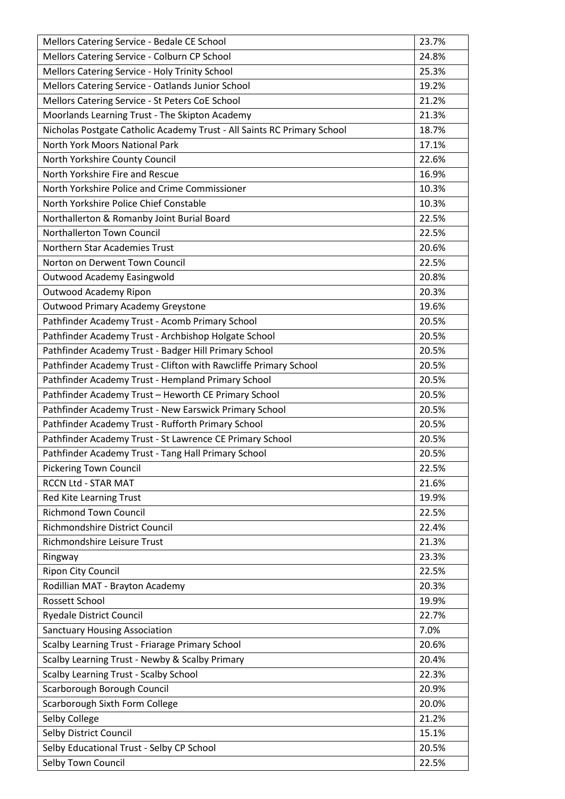| Mellors Catering Service - Bedale CE School                             | 23.7% |
|-------------------------------------------------------------------------|-------|
| Mellors Catering Service - Colburn CP School                            | 24.8% |
| Mellors Catering Service - Holy Trinity School                          | 25.3% |
| Mellors Catering Service - Oatlands Junior School                       | 19.2% |
| Mellors Catering Service - St Peters CoE School                         | 21.2% |
| Moorlands Learning Trust - The Skipton Academy                          | 21.3% |
| Nicholas Postgate Catholic Academy Trust - All Saints RC Primary School | 18.7% |
| North York Moors National Park                                          | 17.1% |
| North Yorkshire County Council                                          | 22.6% |
| North Yorkshire Fire and Rescue                                         | 16.9% |
| North Yorkshire Police and Crime Commissioner                           | 10.3% |
| North Yorkshire Police Chief Constable                                  | 10.3% |
| Northallerton & Romanby Joint Burial Board                              | 22.5% |
| Northallerton Town Council                                              | 22.5% |
| Northern Star Academies Trust                                           | 20.6% |
| Norton on Derwent Town Council                                          | 22.5% |
| Outwood Academy Easingwold                                              | 20.8% |
| Outwood Academy Ripon                                                   | 20.3% |
| <b>Outwood Primary Academy Greystone</b>                                | 19.6% |
| Pathfinder Academy Trust - Acomb Primary School                         | 20.5% |
| Pathfinder Academy Trust - Archbishop Holgate School                    | 20.5% |
| Pathfinder Academy Trust - Badger Hill Primary School                   | 20.5% |
| Pathfinder Academy Trust - Clifton with Rawcliffe Primary School        | 20.5% |
| Pathfinder Academy Trust - Hempland Primary School                      | 20.5% |
| Pathfinder Academy Trust - Heworth CE Primary School                    | 20.5% |
| Pathfinder Academy Trust - New Earswick Primary School                  | 20.5% |
| Pathfinder Academy Trust - Rufforth Primary School                      | 20.5% |
| Pathfinder Academy Trust - St Lawrence CE Primary School                | 20.5% |
| Pathfinder Academy Trust - Tang Hall Primary School                     | 20.5% |
| <b>Pickering Town Council</b>                                           | 22.5% |
| <b>RCCN Ltd - STAR MAT</b>                                              | 21.6% |
| Red Kite Learning Trust                                                 | 19.9% |
| <b>Richmond Town Council</b>                                            | 22.5% |
| Richmondshire District Council                                          | 22.4% |
| Richmondshire Leisure Trust                                             | 21.3% |
| Ringway                                                                 | 23.3% |
| <b>Ripon City Council</b>                                               | 22.5% |
| Rodillian MAT - Brayton Academy                                         | 20.3% |
| <b>Rossett School</b>                                                   | 19.9% |
| <b>Ryedale District Council</b>                                         | 22.7% |
| <b>Sanctuary Housing Association</b>                                    | 7.0%  |
| Scalby Learning Trust - Friarage Primary School                         | 20.6% |
| Scalby Learning Trust - Newby & Scalby Primary                          | 20.4% |
| <b>Scalby Learning Trust - Scalby School</b>                            | 22.3% |
| Scarborough Borough Council                                             | 20.9% |
| Scarborough Sixth Form College                                          | 20.0% |
| Selby College                                                           | 21.2% |
| Selby District Council                                                  | 15.1% |
| Selby Educational Trust - Selby CP School                               | 20.5% |
| Selby Town Council                                                      | 22.5% |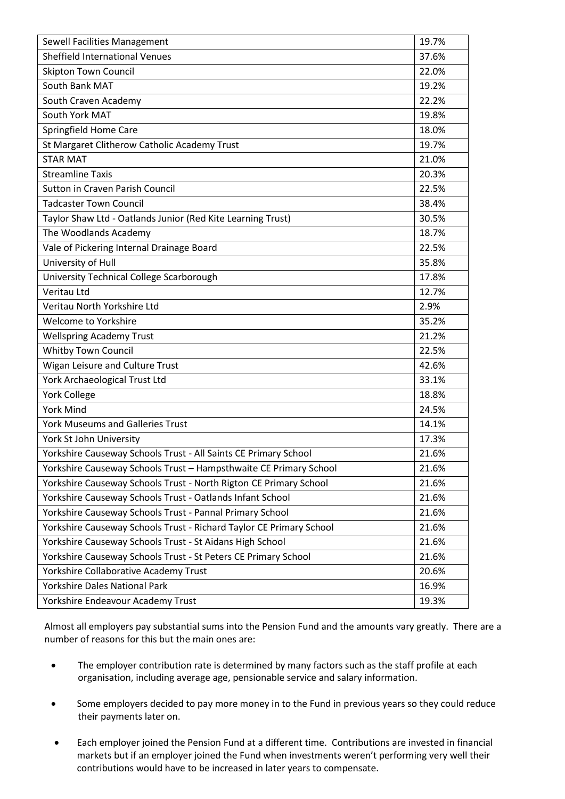| Sewell Facilities Management                                        | 19.7% |
|---------------------------------------------------------------------|-------|
| Sheffield International Venues                                      | 37.6% |
| <b>Skipton Town Council</b>                                         | 22.0% |
| South Bank MAT                                                      | 19.2% |
| South Craven Academy                                                | 22.2% |
| South York MAT                                                      | 19.8% |
| Springfield Home Care                                               | 18.0% |
| St Margaret Clitherow Catholic Academy Trust                        | 19.7% |
| <b>STAR MAT</b>                                                     | 21.0% |
| <b>Streamline Taxis</b>                                             | 20.3% |
| <b>Sutton in Craven Parish Council</b>                              | 22.5% |
| <b>Tadcaster Town Council</b>                                       | 38.4% |
| Taylor Shaw Ltd - Oatlands Junior (Red Kite Learning Trust)         | 30.5% |
| The Woodlands Academy                                               | 18.7% |
| Vale of Pickering Internal Drainage Board                           | 22.5% |
| University of Hull                                                  | 35.8% |
| University Technical College Scarborough                            | 17.8% |
| <b>Veritau Ltd</b>                                                  | 12.7% |
| Veritau North Yorkshire Ltd                                         | 2.9%  |
| <b>Welcome to Yorkshire</b>                                         | 35.2% |
| <b>Wellspring Academy Trust</b>                                     | 21.2% |
| Whitby Town Council                                                 | 22.5% |
| Wigan Leisure and Culture Trust                                     | 42.6% |
| York Archaeological Trust Ltd                                       | 33.1% |
| <b>York College</b>                                                 | 18.8% |
| <b>York Mind</b>                                                    | 24.5% |
| <b>York Museums and Galleries Trust</b>                             | 14.1% |
| York St John University                                             | 17.3% |
| Yorkshire Causeway Schools Trust - All Saints CE Primary School     | 21.6% |
| Yorkshire Causeway Schools Trust - Hampsthwaite CE Primary School   | 21.6% |
| Yorkshire Causeway Schools Trust - North Rigton CE Primary School   | 21.6% |
| Yorkshire Causeway Schools Trust - Oatlands Infant School           | 21.6% |
| Yorkshire Causeway Schools Trust - Pannal Primary School            | 21.6% |
| Yorkshire Causeway Schools Trust - Richard Taylor CE Primary School | 21.6% |
| Yorkshire Causeway Schools Trust - St Aidans High School            | 21.6% |
| Yorkshire Causeway Schools Trust - St Peters CE Primary School      | 21.6% |
| Yorkshire Collaborative Academy Trust                               | 20.6% |
| <b>Yorkshire Dales National Park</b>                                | 16.9% |
| Yorkshire Endeavour Academy Trust                                   | 19.3% |

Almost all employers pay substantial sums into the Pension Fund and the amounts vary greatly. There are a number of reasons for this but the main ones are:

- The employer contribution rate is determined by many factors such as the staff profile at each organisation, including average age, pensionable service and salary information.
- Some employers decided to pay more money in to the Fund in previous years so they could reduce their payments later on.
- Each employer joined the Pension Fund at a different time. Contributions are invested in financial markets but if an employer joined the Fund when investments weren't performing very well their contributions would have to be increased in later years to compensate.